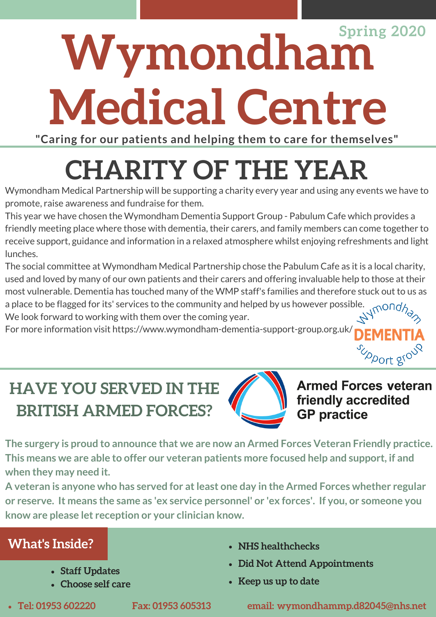# **Wymondham Medical Centre Spring 2020**

**"Caring for our patients and helping them to care for themselves"**

# **CHARITY OF THE YEAR**

Wymondham Medical Partnership will be supporting a charity every year and using any events we have to promote, raise awareness and fundraise for them.

This year we have chosen the Wymondham Dementia Support Group - Pabulum Cafe which provides a friendly meeting place where those with dementia, their carers, and family members can come together to receive support, guidance and information in a relaxed atmosphere whilst enjoying refreshments and light lunches.

The social committee at Wymondham Medical Partnership chose the Pabulum Cafe as it is a local charity, used and loved by many of our own patients and their carers and offering invaluable help to those at their most vulnerable. Dementia has touched many of the WMP staff's families and therefore stuck out to us as a place to be flagged for its' services to the community and helped by us however possible. We look forward to working with them over the coming year.

For more information visit https://www.wymondham-dementia-support-group.org.uk/

# **HAVE YOU SERVED IN THE BRITISH ARMED FORCES?**



**Armed Forces veteran** friendly accredited **GP** practice

Upport group

**The surgery is proud to announce that we are now an Armed Forces Veteran Friendly practice. This means we are able to offer our veteran patients more focused help and support, if and when they may need it.** 

**A veteran is anyone who has served for at least one day in the Armed Forces whether regular or reserve. It means the same as 'ex service personnel' or 'ex forces'. If you, or someone you know are please let reception or your clinician know.** 

### **What's Inside?**

- **Staff Updates**
- **Choose self care**
- 

- **NHS healthchecks**
- **Did Not Attend Appointments**
- **Keep us up to date**

**Tel: 01953 602220 Fax: 01953 605313 email: wymondhammp.d82045@nhs.net**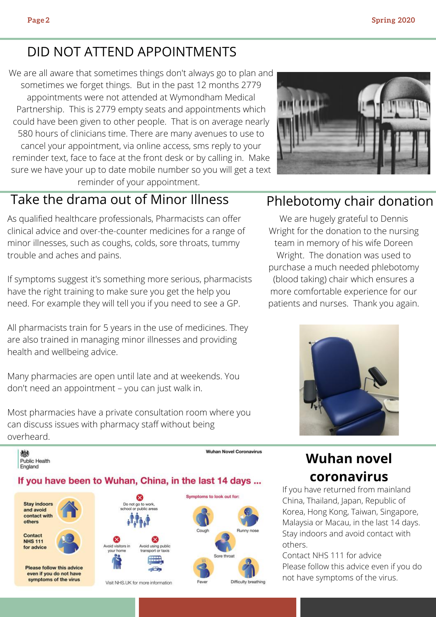### DID NOT ATTEND APPOINTMENTS

We are all aware that sometimes things don't always go to plan and sometimes we forget things. But in the past 12 months 2779 appointments were not attended at Wymondham Medical Partnership. This is 2779 empty seats and appointments which could have been given to other people. That is on average nearly 580 hours of clinicians time. There are many avenues to use to cancel your appointment, via online access, sms reply to your reminder text, face to face at the front desk or by calling in. Make sure we have your up to date mobile number so you will get a text reminder of your appointment.



### Take the drama out of Minor Illness Phlebotomy chair donation

As qualified healthcare professionals, Pharmacists can offer clinical advice and over-the-counter medicines for a range of minor illnesses, such as coughs, colds, sore throats, tummy trouble and aches and pains.

If symptoms suggest it's something more serious, pharmacists have the right training to make sure you get the help you need. For example they will tell you if you need to see a GP.

All pharmacists train for 5 years in the use of medicines. They are also trained in managing minor illnesses and providing health and wellbeing advice.

Many pharmacies are open until late and at weekends. You don't need an appointment – you can just walk in.

Most pharmacies have a private consultation room where you can discuss issues with pharmacy staff without being overheard.



We are hugely grateful to Dennis Wright for the donation to the nursing team in memory of his wife Doreen Wright. The donation was used to purchase a much needed phlebotomy (blood taking) chair which ensures a more comfortable experience for our patients and nurses. Thank you again.



### **Wuhan novel coronavirus**

If you have returned from mainland China, Thailand, Japan, Republic of Korea, Hong Kong, Taiwan, Singapore, Malaysia or Macau, in the last 14 days. Stay indoors and avoid contact with others.

Contact NHS 111 for advice Please follow this advice even if you do not have symptoms of the virus.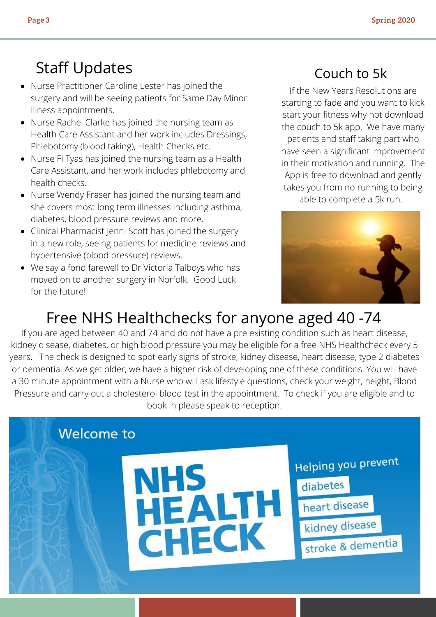## Staff Updates

- Nurse Practitioner Caroline Lester has joined the surgery and will be seeing patients for Same Day Minor Illness appointments.
- Nurse Rachel Clarke has joined the nursing team as Health Care Assistant and her work includes Dressings, Phlebotomy (blood taking), Health Checks etc.
- Nurse Fi Tyas has joined the nursing team as a Health Care Assistant, and her work includes phlebotomy and health checks.
- Nurse Wendy Fraser has joined the nursing team and she covers most long term illnesses including asthma, diabetes, blood pressure reviews and more.
- Clinical Pharmacist Jenni Scott has joined the surgery in a new role, seeing patients for medicine reviews and hypertensive (blood pressure) reviews.
- We say a fond farewell to Dr Victoria Talboys who has moved on to another surgery in Norfolk. Good Luck for the future!

### Couch to 5k

If the New Years Resolutions are starting to fade and you want to kick start your fitness why not download the couch to 5k app. We have many patients and staff taking part who have seen a significant improvement in their motivation and running. The App is free to download and gently takes you from no running to being able to complete a 5k run.



# Free NHS Healthchecks for anyone aged 40 -74

If you are aged between 40 and 74 and do not have a pre existing condition such as heart disease, kidney disease, diabetes, or high blood pressure you may be eligible for a free NHS Healthcheck every 5 years. The check is designed to spot early signs of stroke, kidney disease, heart disease, type 2 diabetes or dementia. As we get older, we have a higher risk of developing one of these conditions. You will have a 30 minute appointment with a Nurse who will ask lifestyle questions, check your weight, height, Blood Pressure and carry out a cholesterol blood test in the appointment. To check if you are eligible and to book in please speak to reception.